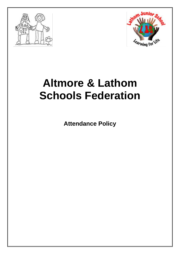



# **Altmore & Lathom Schools Federation**

**Attendance Policy**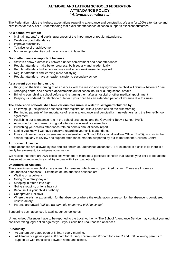# **ALTMORE AND LATHOM SCHOOLS FEDERATION ATTENDANCE POLICY "***Attendance matters…"*

The Federation holds the highest expectations regarding attendance and punctuality. We aim for 100% attendance and zero lates for every child, understanding that excellent attendance at school supports excellent outcomes.

## **As a school we aim to:**

- Maintain parents' and pupils' awareness of the importance of regular attendance.
- Celebrate good attendance
- Improve punctuality
- To raise level of achievement
- Maximise opportunities both in school and in later life

## **Good attendance is important because:**

- Statistics show a direct link between under-achievement and poor attendance
- Regular attenders make better progress, both socially and academically
- Regular attenders find school routines and school work easier to cope with
- Regular attenders find learning more satisfying
- Regular attenders have an easier transfer to secondary school

## **As a parent you can help us by:**

- Ringing on the first morning of all absences with the reason and saying when the child will return before 9.15am
- Arranging dental and doctor's appointments out of school hours or during school breaks
- Bringing your child to school before and returning them after a hospital or other medical appointment
- Keeping us updated by telephone or letter if your child has an extended period of absence due to illness

## **The Federation schools shall take various measures in order to safeguard children by:**

- Following up unexplained absences after registration, with a phone call on the first morning
- Reminding parents of the importance of regular attendance and punctuality in newsletters, and the Home-School agreement
- Publishing our attendance rate in the school prospectus and the Governing Body's School Profile
- Acknowledging and rewarding good attendance in weekly assemblies
- Publishing your child's attendance rate on her/his annual school report
- Letting you know if we have concerns regarding your child's attendance
- If we continue to have concerns make a referral to the School Educational Welfare Officer (EWO), who visits the school regularly to review and support attendance matters supported by our team from the Children Centre.

## **Authorised Absence**

Some absences are allowed by law and are known as "authorised absences". For example: if a child is ill; there is a family bereavement; for religious observance.

We realise that there are *rare* occasions when there might be a particular concern that causes your child to be absent. Please let us know and we shall try to deal with it sympathetically.

## **Unauthorised Absence**

There are times when children are absent for reasons, which are *not* permitted by law. These are known as "unauthorised absences". Examples of unauthorised absence are:

- Waiting on a delivery
- Going for a family day out
- Sleeping in after a late night
- Going shopping, or for a hair cut
- Because it is your child's birthday
- Unapproved Holidays
- Where there is no explanation for the absence or where the explanation or reason for the absence is considered unsatisfactory.
- Parents are unwell (*call us, we can help to get your child to school*)

## Supporting such absences is against our school ethos

Unauthorised Absences have to be reported to the Local Authority. The School Attendance Service may contact you and consider taking legal action against you if your child has unauthorised absences.

## **Punctuality**

- At Lathom our gates open at 8:30am every morning.
- At Altmore our gates open at 8:45am for Nursery children and 8:55am for Year R and KS1, allowing parents to support us with transitions between home and school.